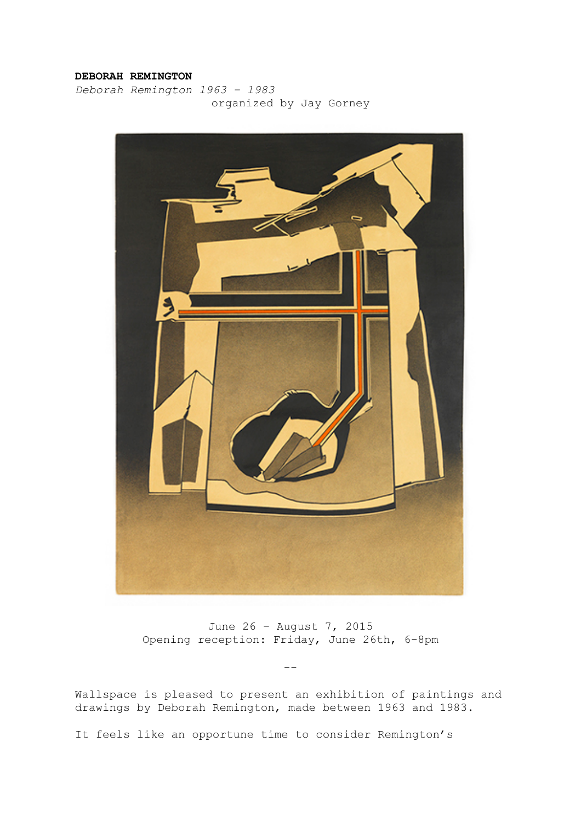## **DEBORAH REMINGTON**

*Deborah Remington 1963 – 1983* organized by Jay Gorney



June 26 – August 7, 2015 Opening reception: Friday, June 26th, 6-8pm

--

Wallspace is pleased to present an exhibition of paintings and drawings by Deborah Remington, made between 1963 and 1983.

It feels like an opportune time to consider Remington's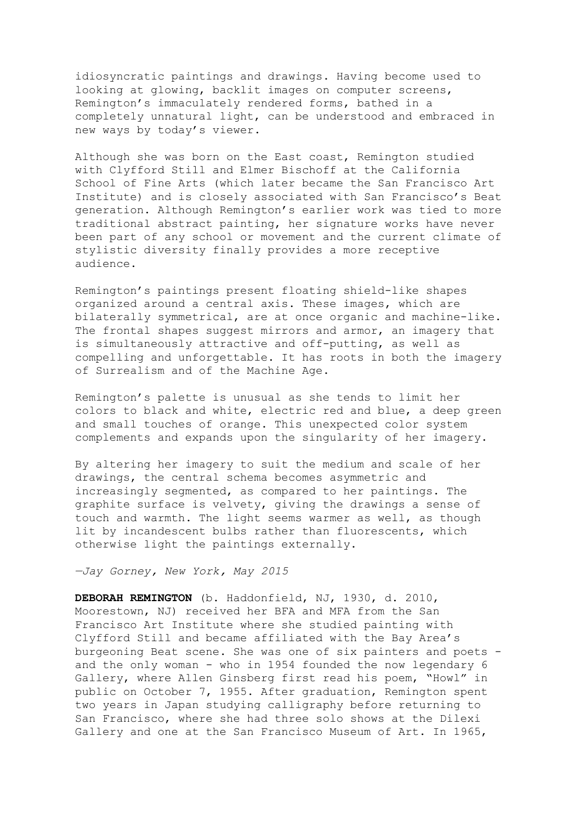idiosyncratic paintings and drawings. Having become used to looking at glowing, backlit images on computer screens, Remington's immaculately rendered forms, bathed in a completely unnatural light, can be understood and embraced in new ways by today's viewer.

Although she was born on the East coast, Remington studied with Clyfford Still and Elmer Bischoff at the California School of Fine Arts (which later became the San Francisco Art Institute) and is closely associated with San Francisco's Beat generation. Although Remington's earlier work was tied to more traditional abstract painting, her signature works have never been part of any school or movement and the current climate of stylistic diversity finally provides a more receptive audience.

Remington's paintings present floating shield-like shapes organized around a central axis. These images, which are bilaterally symmetrical, are at once organic and machine-like. The frontal shapes suggest mirrors and armor, an imagery that is simultaneously attractive and off-putting, as well as compelling and unforgettable. It has roots in both the imagery of Surrealism and of the Machine Age.

Remington's palette is unusual as she tends to limit her colors to black and white, electric red and blue, a deep green and small touches of orange. This unexpected color system complements and expands upon the singularity of her imagery.

By altering her imagery to suit the medium and scale of her drawings, the central schema becomes asymmetric and increasingly segmented, as compared to her paintings. The graphite surface is velvety, giving the drawings a sense of touch and warmth. The light seems warmer as well, as though lit by incandescent bulbs rather than fluorescents, which otherwise light the paintings externally.

*—Jay Gorney, New York, May 2015*

**DEBORAH REMINGTON** (b. Haddonfield, NJ, 1930, d. 2010, Moorestown, NJ) received her BFA and MFA from the San Francisco Art Institute where she studied painting with Clyfford Still and became affiliated with the Bay Area's burgeoning Beat scene. She was one of six painters and poets and the only woman - who in 1954 founded the now legendary 6 Gallery, where Allen Ginsberg first read his poem, "Howl" in public on October 7, 1955. After graduation, Remington spent two years in Japan studying calligraphy before returning to San Francisco, where she had three solo shows at the Dilexi Gallery and one at the San Francisco Museum of Art. In 1965,